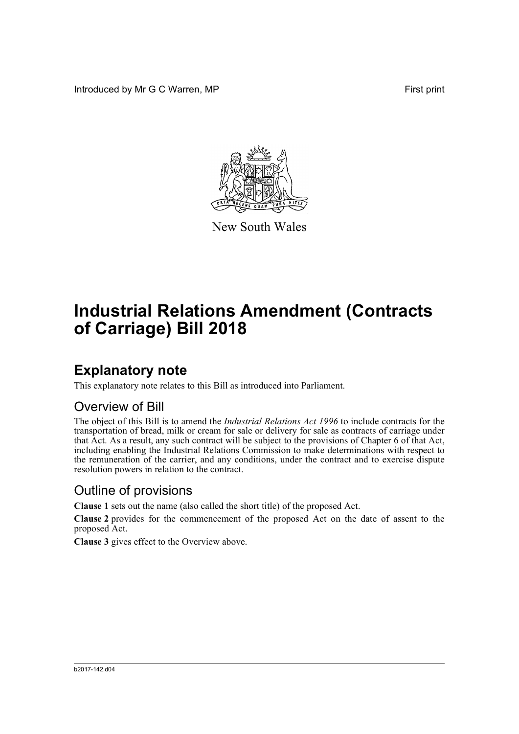Introduced by Mr G C Warren, MP **First** print



New South Wales

# **Industrial Relations Amendment (Contracts of Carriage) Bill 2018**

## **Explanatory note**

This explanatory note relates to this Bill as introduced into Parliament.

#### Overview of Bill

The object of this Bill is to amend the *Industrial Relations Act 1996* to include contracts for the transportation of bread, milk or cream for sale or delivery for sale as contracts of carriage under that Act. As a result, any such contract will be subject to the provisions of Chapter 6 of that Act, including enabling the Industrial Relations Commission to make determinations with respect to the remuneration of the carrier, and any conditions, under the contract and to exercise dispute resolution powers in relation to the contract.

#### Outline of provisions

**Clause 1** sets out the name (also called the short title) of the proposed Act.

**Clause 2** provides for the commencement of the proposed Act on the date of assent to the proposed Act.

**Clause 3** gives effect to the Overview above.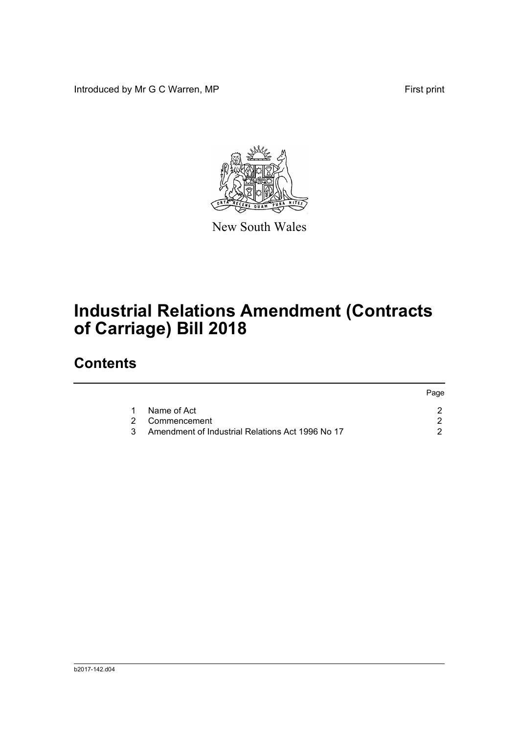Introduced by Mr G C Warren, MP **First** print



New South Wales

# **Industrial Relations Amendment (Contracts of Carriage) Bill 2018**

## **Contents**

|    |                                                  | Page |
|----|--------------------------------------------------|------|
|    | 1 Name of Act                                    |      |
|    | 2 Commencement                                   |      |
| 3. | Amendment of Industrial Relations Act 1996 No 17 |      |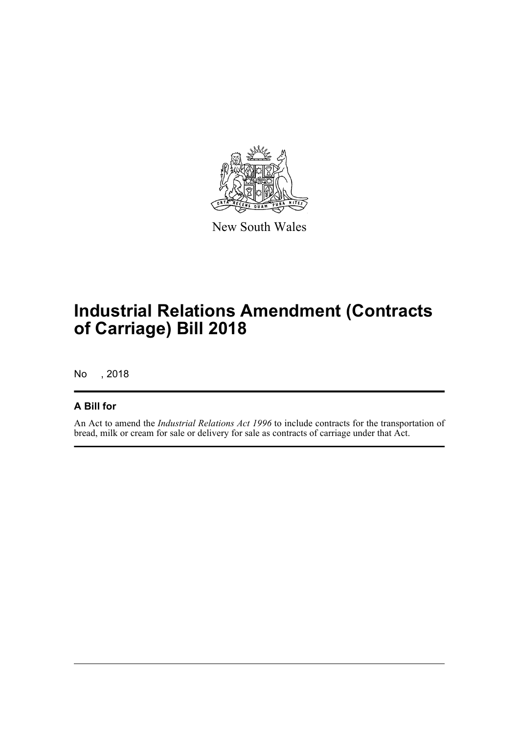

New South Wales

## **Industrial Relations Amendment (Contracts of Carriage) Bill 2018**

No , 2018

#### **A Bill for**

An Act to amend the *Industrial Relations Act 1996* to include contracts for the transportation of bread, milk or cream for sale or delivery for sale as contracts of carriage under that Act.